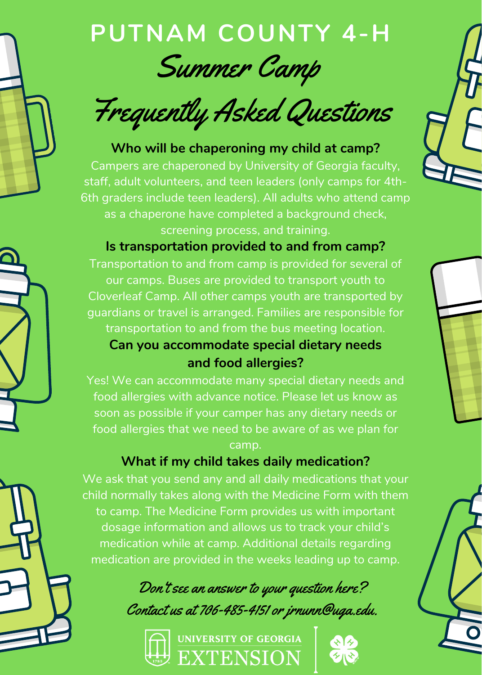

# **PUTNAM COUNTY 4-H** Summer Camp

Frequently Asked Questions

## **Who will be chaperoning my child at camp?**

Campers are chaperoned by University of Georgia faculty, staff, adult volunteers, and teen leaders (only camps for 4th-6th graders include teen leaders). All adults who attend camp as a chaperone have completed a background check, screening process, and training.

## **Is transportation provided to and from camp?**

Transportation to and from camp is provided for several of our camps. Buses are provided to transport youth to Cloverleaf Camp. All other camps youth are transported by guardians or travel is arranged. Families are responsible for transportation to and from the bus meeting location.

## **Can you accommodate special dietary needs and food allergies?**

Yes! We can accommodate many special dietary needs and food allergies with advance notice. Please let us know as soon as possible if your camper has any dietary needs or food allergies that we need to be aware of as we plan for camp.

# **What if my child takes daily medication?**

We ask that you send any and all daily medications that your child normally takes along with the Medicine Form with them to camp. The Medicine Form provides us with important dosage information and allows us to track your child's medication while at camp. Additional details regarding medication are provided in the weeks leading up to camp.

Don't see an answer to your question here? Contact us at 706-485-4151 or jrnunn@uga.edu.